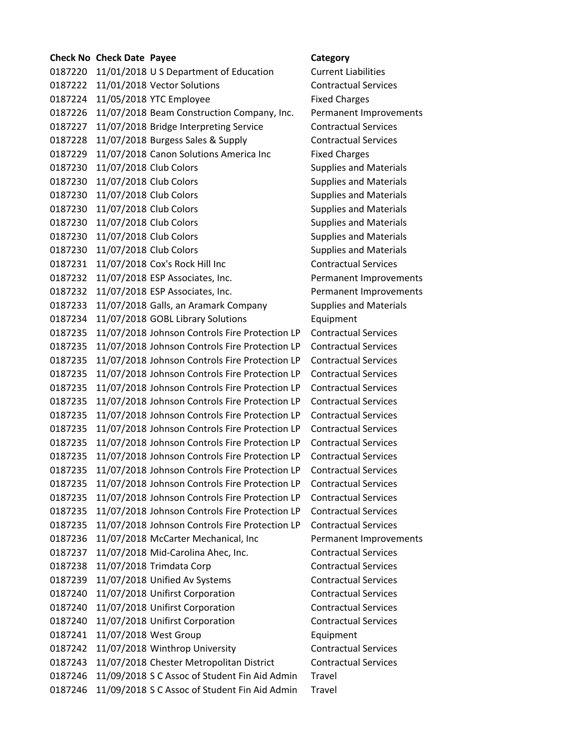## **Check No Check Date Payee Category** 0187220 11/01/2018 U S Department of Education Current Liabilities 0187222 11/01/2018 Vector Solutions Contractual Services 0187224 11/05/2018 YTC Employee Fixed Charges 0187226 11/07/2018 Beam Construction Company, Inc. Permanent Improvements 0187227 11/07/2018 Bridge Interpreting Service Contractual Services 0187228 11/07/2018 Burgess Sales & Supply Contractual Services 0187229 11/07/2018 Canon Solutions America Inc Fixed Charges 0187230 11/07/2018 Club Colors **Supplies and Materials** Supplies and Materials 0187230 11/07/2018 Club Colors Supplies and Materials 0187230 11/07/2018 Club Colors Supplies and Materials 0187230 11/07/2018 Club Colors **Supplies and Materials** Supplies and Materials 0187230 11/07/2018 Club Colors Supplies and Materials 0187230 11/07/2018 Club Colors **Supplies and Materials** Supplies and Materials 0187230 11/07/2018 Club Colors **Supplies and Materials** Supplies and Materials 0187231 11/07/2018 Cox's Rock Hill Inc Contractual Services 0187232 11/07/2018 ESP Associates, Inc. Permanent Improvements 0187232 11/07/2018 ESP Associates, Inc. Permanent Improvements 0187233 11/07/2018 Galls, an Aramark Company Supplies and Materials 0187234 11/07/2018 GOBL Library Solutions Equipment 0187235 11/07/2018 Johnson Controls Fire Protection LP Contractual Services 0187235 11/07/2018 Johnson Controls Fire Protection LP Contractual Services 0187235 11/07/2018 Johnson Controls Fire Protection LP Contractual Services 0187235 11/07/2018 Johnson Controls Fire Protection LP Contractual Services 0187235 11/07/2018 Johnson Controls Fire Protection LP Contractual Services 0187235 11/07/2018 Johnson Controls Fire Protection LP Contractual Services 0187235 11/07/2018 Johnson Controls Fire Protection LP Contractual Services 0187235 11/07/2018 Johnson Controls Fire Protection LP Contractual Services 0187235 11/07/2018 Johnson Controls Fire Protection LP Contractual Services 0187235 11/07/2018 Johnson Controls Fire Protection LP Contractual Services 0187235 11/07/2018 Johnson Controls Fire Protection LP Contractual Services 0187235 11/07/2018 Johnson Controls Fire Protection LP Contractual Services 0187235 11/07/2018 Johnson Controls Fire Protection LP Contractual Services 0187235 11/07/2018 Johnson Controls Fire Protection LP Contractual Services 0187235 11/07/2018 Johnson Controls Fire Protection LP Contractual Services 0187236 11/07/2018 McCarter Mechanical, Inc Permanent Improvements 0187237 11/07/2018 Mid-Carolina Ahec, Inc. Contractual Services 0187238 11/07/2018 Trimdata Corp Contractual Services 0187239 11/07/2018 Unified Av Systems Contractual Services 0187240 11/07/2018 Unifirst Corporation Contractual Services 0187240 11/07/2018 Unifirst Corporation Contractual Services 0187240 11/07/2018 Unifirst Corporation Contractual Services 0187241 11/07/2018 West Group **Equipment** 0187242 11/07/2018 Winthrop University **Contractual Services** 0187243 11/07/2018 Chester Metropolitan District Contractual Services 0187246 11/09/2018 S C Assoc of Student Fin Aid Admin Travel 0187246 11/09/2018 S C Assoc of Student Fin Aid Admin Travel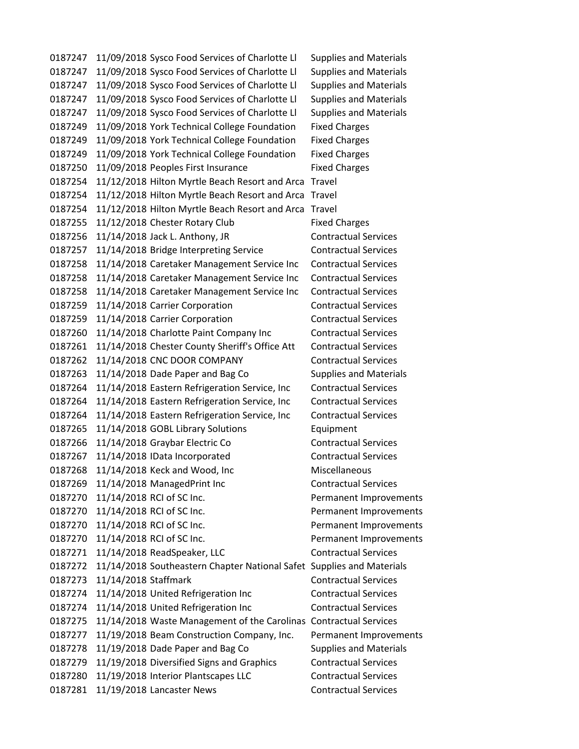0187247 11/09/2018 Sysco Food Services of Charlotte Ll Supplies and Materials 0187247 11/09/2018 Sysco Food Services of Charlotte Ll Supplies and Materials 0187247 11/09/2018 Sysco Food Services of Charlotte Ll Supplies and Materials 0187247 11/09/2018 Sysco Food Services of Charlotte Ll Supplies and Materials 0187247 11/09/2018 Sysco Food Services of Charlotte Ll Supplies and Materials 0187249 11/09/2018 York Technical College Foundation Fixed Charges 0187249 11/09/2018 York Technical College Foundation Fixed Charges 0187249 11/09/2018 York Technical College Foundation Fixed Charges 0187250 11/09/2018 Peoples First Insurance Fixed Charges 0187254 11/12/2018 Hilton Myrtle Beach Resort and Arca Travel 0187254 11/12/2018 Hilton Myrtle Beach Resort and Arca Travel 0187254 11/12/2018 Hilton Myrtle Beach Resort and Arca Travel 0187255 11/12/2018 Chester Rotary Club Fixed Charges 0187256 11/14/2018 Jack L. Anthony, JR Contractual Services 0187257 11/14/2018 Bridge Interpreting Service Contractual Services 0187258 11/14/2018 Caretaker Management Service Inc Contractual Services 0187258 11/14/2018 Caretaker Management Service Inc Contractual Services 0187258 11/14/2018 Caretaker Management Service Inc Contractual Services 0187259 11/14/2018 Carrier Corporation Contractual Services 0187259 11/14/2018 Carrier Corporation Contractual Services 0187260 11/14/2018 Charlotte Paint Company Inc Contractual Services 0187261 11/14/2018 Chester County Sheriff's Office Att Contractual Services 0187262 11/14/2018 CNC DOOR COMPANY Contractual Services 0187263 11/14/2018 Dade Paper and Bag Co Supplies and Materials 0187264 11/14/2018 Eastern Refrigeration Service, Inc Contractual Services 0187264 11/14/2018 Eastern Refrigeration Service, Inc Contractual Services 0187264 11/14/2018 Eastern Refrigeration Service, Inc Contractual Services 0187265 11/14/2018 GOBL Library Solutions Equipment 0187266 11/14/2018 Graybar Electric Co Contractual Services 0187267 11/14/2018 IData Incorporated Contractual Services 0187268 11/14/2018 Keck and Wood, Inc Miscellaneous 0187269 11/14/2018 ManagedPrint Inc Contractual Services 0187270 11/14/2018 RCI of SC Inc. Permanent Improvements 0187270 11/14/2018 RCI of SC Inc. The Permanent Improvements 0187270 11/14/2018 RCI of SC Inc. Permanent Improvements 0187270 11/14/2018 RCI of SC Inc. Permanent Improvements 0187271 11/14/2018 ReadSpeaker, LLC Contractual Services 0187272 11/14/2018 Southeastern Chapter National Safet Supplies and Materials 0187273 11/14/2018 Staffmark Contractual Services 0187274 11/14/2018 United Refrigeration Inc Contractual Services 0187274 11/14/2018 United Refrigeration Inc Contractual Services 0187275 11/14/2018 Waste Management of the Carolinas Contractual Services 0187277 11/19/2018 Beam Construction Company, Inc. Permanent Improvements 0187278 11/19/2018 Dade Paper and Bag Co Supplies and Materials 0187279 11/19/2018 Diversified Signs and Graphics Contractual Services 0187280 11/19/2018 Interior Plantscapes LLC Contractual Services 0187281 11/19/2018 Lancaster News Contractual Services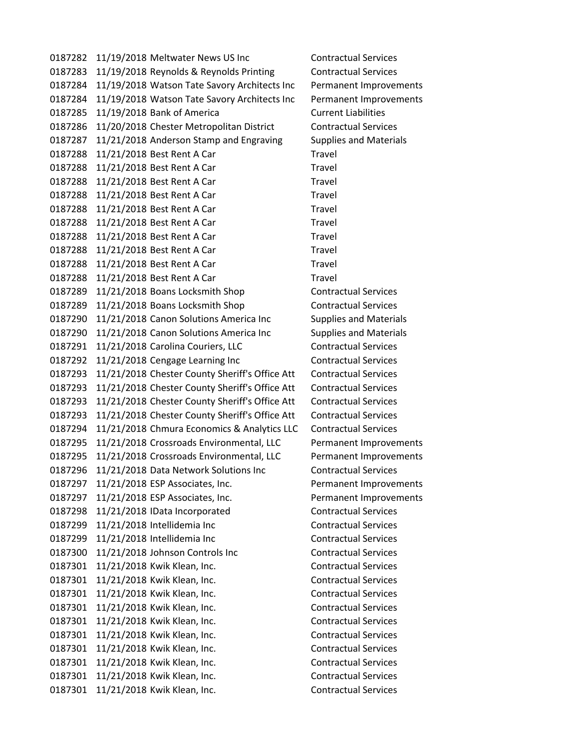0187282 11/19/2018 Meltwater News US Inc Contractual Services 0187283 11/19/2018 Reynolds & Reynolds Printing Contractual Services 0187284 11/19/2018 Watson Tate Savory Architects Inc Permanent Improvements 0187284 11/19/2018 Watson Tate Savory Architects Inc Permanent Improvements 0187285 11/19/2018 Bank of America Current Liabilities 0187286 11/20/2018 Chester Metropolitan District Contractual Services 0187287 11/21/2018 Anderson Stamp and Engraving Supplies and Materials 0187288 11/21/2018 Best Rent A Car Travel 0187288 11/21/2018 Best Rent A Car Travel 0187288 11/21/2018 Best Rent A Car Travel 0187288 11/21/2018 Best Rent A Car Travel 0187288 11/21/2018 Best Rent A Car Travel 0187288 11/21/2018 Best Rent A Car Travel 0187288 11/21/2018 Best Rent A Car Travel 0187288 11/21/2018 Best Rent A Car Travel 0187288 11/21/2018 Best Rent A Car Travel 0187288 11/21/2018 Best Rent A Car Travel 0187289 11/21/2018 Boans Locksmith Shop Contractual Services 0187289 11/21/2018 Boans Locksmith Shop Contractual Services 0187290 11/21/2018 Canon Solutions America Inc Supplies and Materials 0187290 11/21/2018 Canon Solutions America Inc Supplies and Materials 0187291 11/21/2018 Carolina Couriers, LLC Contractual Services 0187292 11/21/2018 Cengage Learning Inc Contractual Services 0187293 11/21/2018 Chester County Sheriff's Office Att Contractual Services 0187293 11/21/2018 Chester County Sheriff's Office Att Contractual Services 0187293 11/21/2018 Chester County Sheriff's Office Att Contractual Services 0187293 11/21/2018 Chester County Sheriff's Office Att Contractual Services 0187294 11/21/2018 Chmura Economics & Analytics LLC Contractual Services 0187295 11/21/2018 Crossroads Environmental, LLC Permanent Improvements 0187295 11/21/2018 Crossroads Environmental, LLC Permanent Improvements 0187296 11/21/2018 Data Network Solutions Inc Contractual Services 0187297 11/21/2018 ESP Associates, Inc. Permanent Improvements 0187297 11/21/2018 ESP Associates, Inc. Permanent Improvements 0187298 11/21/2018 IData Incorporated Contractual Services 0187299 11/21/2018 Intellidemia Inc Contractual Services 0187299 11/21/2018 Intellidemia Inc Contractual Services 0187300 11/21/2018 Johnson Controls Inc Contractual Services 0187301 11/21/2018 Kwik Klean, Inc. Contractual Services 0187301 11/21/2018 Kwik Klean, Inc. Contractual Services 0187301 11/21/2018 Kwik Klean, Inc. Contractual Services 0187301 11/21/2018 Kwik Klean, Inc. Contractual Services 0187301 11/21/2018 Kwik Klean, Inc. Contractual Services 0187301 11/21/2018 Kwik Klean, Inc. Contractual Services 0187301 11/21/2018 Kwik Klean, Inc. Contractual Services 0187301 11/21/2018 Kwik Klean, Inc. Contractual Services 0187301 11/21/2018 Kwik Klean, Inc. Contractual Services 0187301 11/21/2018 Kwik Klean, Inc. Contractual Services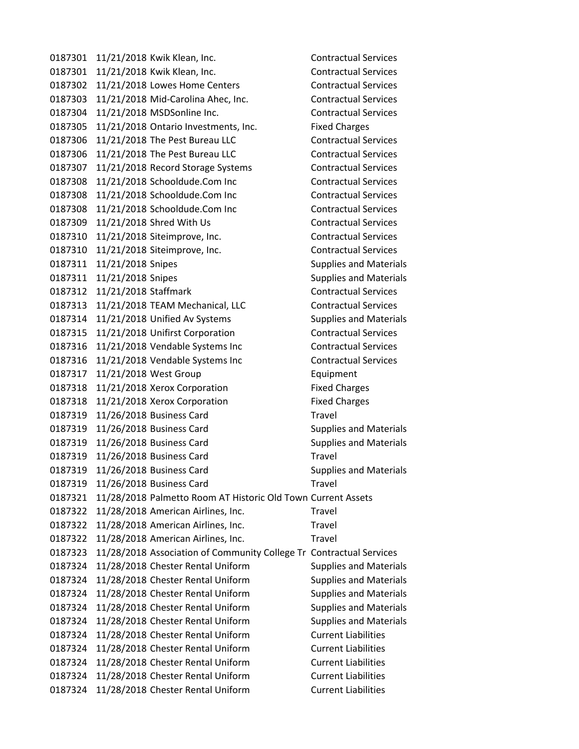0187301 11/21/2018 Kwik Klean, Inc. Contractual Services 0187301 11/21/2018 Kwik Klean, Inc. Contractual Services 0187302 11/21/2018 Lowes Home Centers Contractual Services 0187303 11/21/2018 Mid-Carolina Ahec, Inc. Contractual Services 0187304 11/21/2018 MSDSonline Inc. Contractual Services 0187305 11/21/2018 Ontario Investments, Inc. Fixed Charges 0187306 11/21/2018 The Pest Bureau LLC Contractual Services 0187306 11/21/2018 The Pest Bureau LLC Contractual Services 0187307 11/21/2018 Record Storage Systems Contractual Services 0187308 11/21/2018 Schooldude.Com Inc Contractual Services 0187308 11/21/2018 Schooldude.Com Inc Contractual Services 0187308 11/21/2018 Schooldude.Com Inc Contractual Services 0187309 11/21/2018 Shred With Us Contractual Services 0187310 11/21/2018 Siteimprove, Inc. Contractual Services 0187310 11/21/2018 Siteimprove, Inc. Contractual Services 0187311 11/21/2018 Snipes Supplies and Materials 0187311 11/21/2018 Snipes Supplies and Materials 0187312 11/21/2018 Staffmark Contractual Services 0187313 11/21/2018 TEAM Mechanical, LLC Contractual Services 0187314 11/21/2018 Unified Av Systems Supplies and Materials 0187315 11/21/2018 Unifirst Corporation Contractual Services 0187316 11/21/2018 Vendable Systems Inc Contractual Services 0187316 11/21/2018 Vendable Systems Inc Contractual Services 0187317 11/21/2018 West Group **Equipment** 0187318 11/21/2018 Xerox Corporation Fixed Charges 0187318 11/21/2018 Xerox Corporation Fixed Charges 0187319 11/26/2018 Business Card Travel 0187319 11/26/2018 Business Card Supplies and Materials 0187319 11/26/2018 Business Card Supplies and Materials 0187319 11/26/2018 Business Card Travel 0187319 11/26/2018 Business Card Supplies and Materials 0187319 11/26/2018 Business Card Travel 0187321 11/28/2018 Palmetto Room AT Historic Old Town Current Assets 0187322 11/28/2018 American Airlines, Inc. Travel 0187322 11/28/2018 American Airlines, Inc. Travel 0187322 11/28/2018 American Airlines, Inc. Travel 0187323 11/28/2018 Association of Community College Tr Contractual Services 0187324 11/28/2018 Chester Rental Uniform Supplies and Materials 0187324 11/28/2018 Chester Rental Uniform Supplies and Materials 0187324 11/28/2018 Chester Rental Uniform Supplies and Materials 0187324 11/28/2018 Chester Rental Uniform Supplies and Materials 0187324 11/28/2018 Chester Rental Uniform Supplies and Materials 0187324 11/28/2018 Chester Rental Uniform Current Liabilities 0187324 11/28/2018 Chester Rental Uniform Current Liabilities 0187324 11/28/2018 Chester Rental Uniform Current Liabilities 0187324 11/28/2018 Chester Rental Uniform Current Liabilities 0187324 11/28/2018 Chester Rental Uniform Current Liabilities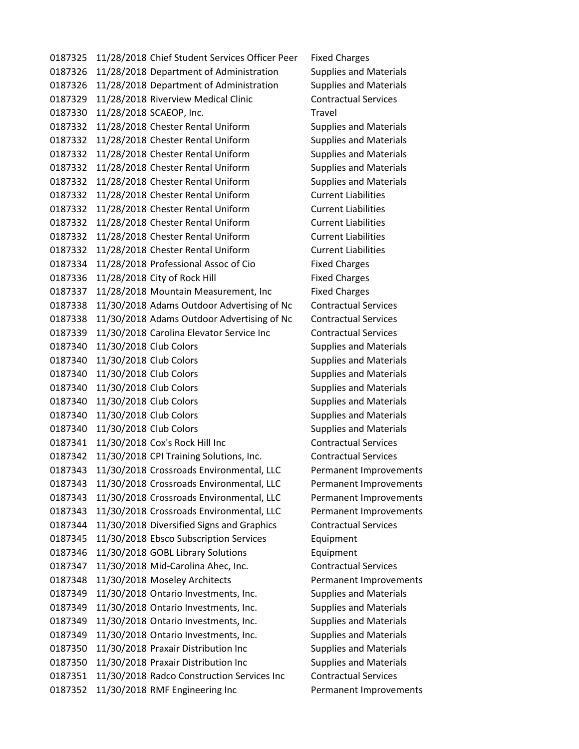0187325 11/28/2018 Chief Student Services Officer Peer Fixed Charges 0187326 11/28/2018 Department of Administration Supplies and Materials 0187326 11/28/2018 Department of Administration Supplies and Materials 0187329 11/28/2018 Riverview Medical Clinic Contractual Services 0187330 11/28/2018 SCAEOP, Inc. Travel 0187332 11/28/2018 Chester Rental Uniform Supplies and Materials 0187332 11/28/2018 Chester Rental Uniform Supplies and Materials 0187332 11/28/2018 Chester Rental Uniform Supplies and Materials 0187332 11/28/2018 Chester Rental Uniform Supplies and Materials 0187332 11/28/2018 Chester Rental Uniform Supplies and Materials 0187332 11/28/2018 Chester Rental Uniform Current Liabilities 0187332 11/28/2018 Chester Rental Uniform Current Liabilities 0187332 11/28/2018 Chester Rental Uniform Current Liabilities 0187332 11/28/2018 Chester Rental Uniform Current Liabilities 0187332 11/28/2018 Chester Rental Uniform Current Liabilities 0187334 11/28/2018 Professional Assoc of Cio<br>Fixed Charges 0187336 11/28/2018 City of Rock Hill Fixed Charges 0187337 11/28/2018 Mountain Measurement, Inc Fixed Charges 0187338 11/30/2018 Adams Outdoor Advertising of Nc Contractual Services 0187338 11/30/2018 Adams Outdoor Advertising of Nc Contractual Services 0187339 11/30/2018 Carolina Elevator Service Inc Contractual Services 0187340 11/30/2018 Club Colors **Supplies and Materials** Supplies and Materials 0187340 11/30/2018 Club Colors Supplies and Materials 0187340 11/30/2018 Club Colors **Supplies and Materials** Supplies and Materials 0187340 11/30/2018 Club Colors Supplies and Materials 0187340 11/30/2018 Club Colors Supplies and Materials 0187340 11/30/2018 Club Colors Supplies and Materials 0187340 11/30/2018 Club Colors **Supplies and Materials** Supplies and Materials 0187341 11/30/2018 Cox's Rock Hill Inc Contractual Services 0187342 11/30/2018 CPI Training Solutions, Inc. Contractual Services 0187343 11/30/2018 Crossroads Environmental, LLC Permanent Improvements 0187343 11/30/2018 Crossroads Environmental, LLC Permanent Improvements 0187343 11/30/2018 Crossroads Environmental, LLC Permanent Improvements 0187343 11/30/2018 Crossroads Environmental, LLC Permanent Improvements 0187344 11/30/2018 Diversified Signs and Graphics Contractual Services 0187345 11/30/2018 Ebsco Subscription Services Equipment 0187346 11/30/2018 GOBL Library Solutions Equipment 0187347 11/30/2018 Mid-Carolina Ahec, Inc. Contractual Services 0187348 11/30/2018 Moseley Architects Permanent Improvements 0187349 11/30/2018 Ontario Investments, Inc. Supplies and Materials 0187349 11/30/2018 Ontario Investments, Inc. Supplies and Materials 0187349 11/30/2018 Ontario Investments, Inc. Supplies and Materials 0187349 11/30/2018 Ontario Investments, Inc. Supplies and Materials 0187350 11/30/2018 Praxair Distribution Inc Supplies and Materials 0187350 11/30/2018 Praxair Distribution Inc Supplies and Materials 0187351 11/30/2018 Radco Construction Services Inc Contractual Services 0187352 11/30/2018 RMF Engineering Inc Permanent Improvements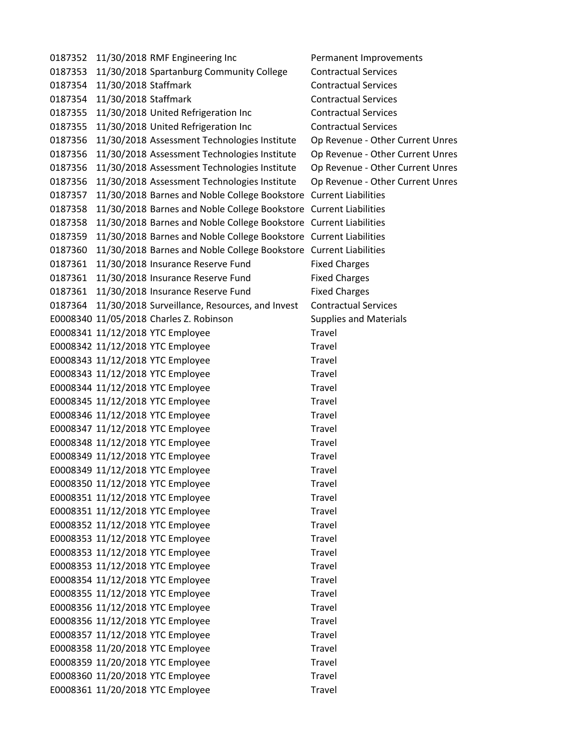0187352 11/30/2018 RMF Engineering Inc Permanent Improvements 0187353 11/30/2018 Spartanburg Community College Contractual Services 0187354 11/30/2018 Staffmark Contractual Services 0187354 11/30/2018 Staffmark Contractual Services 0187355 11/30/2018 United Refrigeration Inc Contractual Services 0187355 11/30/2018 United Refrigeration Inc Contractual Services 0187356 11/30/2018 Assessment Technologies Institute Op Revenue - Other Current Unres 0187356 11/30/2018 Assessment Technologies Institute Op Revenue - Other Current Unres 0187356 11/30/2018 Assessment Technologies Institute Op Revenue - Other Current Unres 0187356 11/30/2018 Assessment Technologies Institute Op Revenue - Other Current Unres 0187357 11/30/2018 Barnes and Noble College Bookstore Current Liabilities 0187358 11/30/2018 Barnes and Noble College Bookstore Current Liabilities 0187358 11/30/2018 Barnes and Noble College Bookstore Current Liabilities 0187359 11/30/2018 Barnes and Noble College Bookstore Current Liabilities 0187360 11/30/2018 Barnes and Noble College Bookstore Current Liabilities 0187361 11/30/2018 Insurance Reserve Fund Fixed Charges 0187361 11/30/2018 Insurance Reserve Fund Fixed Charges 0187361 11/30/2018 Insurance Reserve Fund Fixed Charges 0187364 11/30/2018 Surveillance, Resources, and Invest Contractual Services E0008340 11/05/2018 Charles Z. Robinson Supplies and Materials E0008341 11/12/2018 YTC Employee Travel E0008342 11/12/2018 YTC Employee Travel E0008343 11/12/2018 YTC Employee Travel E0008343 11/12/2018 YTC Employee Travel E0008344 11/12/2018 YTC Employee Travel E0008345 11/12/2018 YTC Employee Travel E0008346 11/12/2018 YTC Employee Travel E0008347 11/12/2018 YTC Employee Travel E0008348 11/12/2018 YTC Employee Travel E0008349 11/12/2018 YTC Employee Travel E0008349 11/12/2018 YTC Employee Travel E0008350 11/12/2018 YTC Employee Travel E0008351 11/12/2018 YTC Employee Travel E0008351 11/12/2018 YTC Employee Travel E0008352 11/12/2018 YTC Employee Travel E0008353 11/12/2018 YTC Employee Travel E0008353 11/12/2018 YTC Employee Travel E0008353 11/12/2018 YTC Employee Travel E0008354 11/12/2018 YTC Employee Travel E0008355 11/12/2018 YTC Employee Travel E0008356 11/12/2018 YTC Employee Travel E0008356 11/12/2018 YTC Employee Travel E0008357 11/12/2018 YTC Employee Travel E0008358 11/20/2018 YTC Employee Travel E0008359 11/20/2018 YTC Employee Travel E0008360 11/20/2018 YTC Employee Travel E0008361 11/20/2018 YTC Employee Travel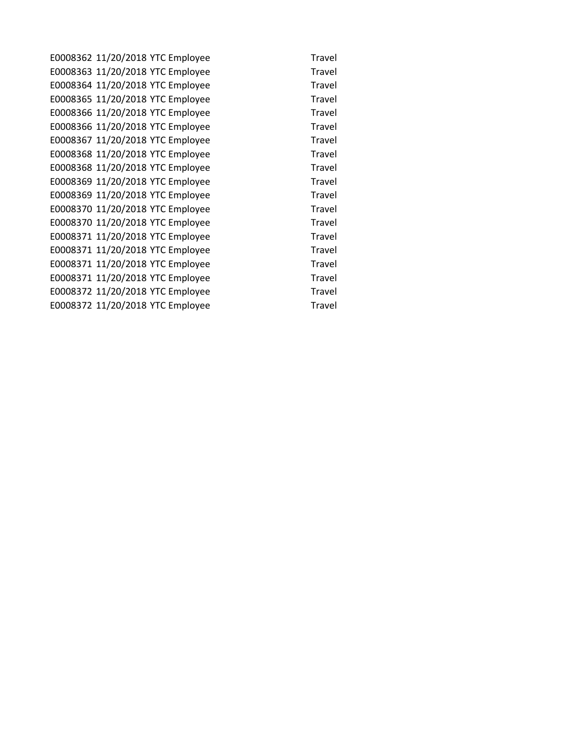E0008362 11/20/2018 YTC Employee Travel E0008363 11/20/2018 YTC Employee Travel E0008364 11/20/2018 YTC Employee Travel E0008365 11/20/2018 YTC Employee Travel E0008366 11/20/2018 YTC Employee Travel E0008366 11/20/2018 YTC Employee Travel E0008367 11/20/2018 YTC Employee Travel E0008368 11/20/2018 YTC Employee Travel E0008368 11/20/2018 YTC Employee Travel E0008369 11/20/2018 YTC Employee Travel E0008369 11/20/2018 YTC Employee Travel E0008370 11/20/2018 YTC Employee Travel E0008370 11/20/2018 YTC Employee Travel E0008371 11/20/2018 YTC Employee Travel E0008371 11/20/2018 YTC Employee Travel E0008371 11/20/2018 YTC Employee Travel E0008371 11/20/2018 YTC Employee Travel E0008372 11/20/2018 YTC Employee Travel E0008372 11/20/2018 YTC Employee Travel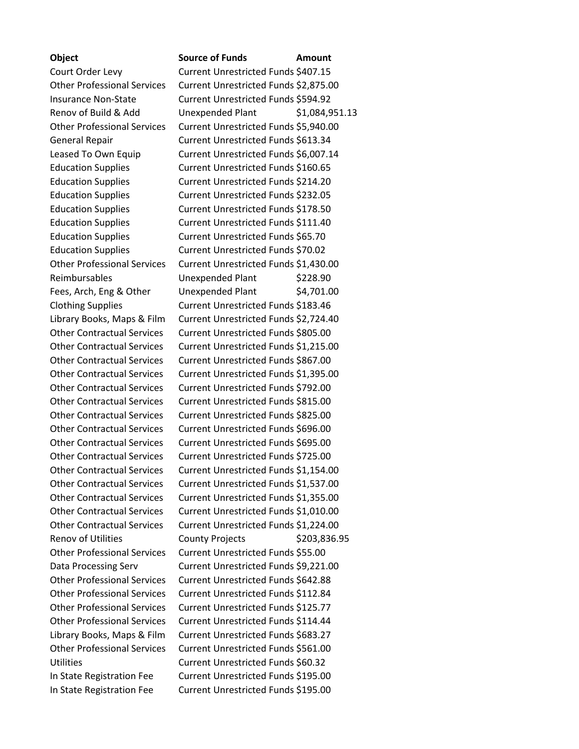## **Object Source of Funds Amount** Court Order Levy Current Unrestricted Funds \$407.15 Other Professional Services Current Unrestricted Funds \$2,875.00 Insurance Non-State Current Unrestricted Funds \$594.92 Renov of Build & Add Unexpended Plant \$1,084,951.13 Other Professional Services Current Unrestricted Funds \$5,940.00 General Repair **Current Unrestricted Funds \$613.34** Leased To Own Equip Current Unrestricted Funds \$6,007.14 Education Supplies Current Unrestricted Funds \$160.65 Education Supplies Current Unrestricted Funds \$214.20 Education Supplies Current Unrestricted Funds \$232.05 Education Supplies Current Unrestricted Funds \$178.50 Education Supplies Current Unrestricted Funds \$111.40 Education Supplies Current Unrestricted Funds \$65.70 Education Supplies Current Unrestricted Funds \$70.02 Other Professional Services Current Unrestricted Funds \$1,430.00 Reimbursables Unexpended Plant \$228.90 Fees, Arch, Eng & Other Unexpended Plant \$4,701.00 Clothing Supplies Current Unrestricted Funds \$183.46 Library Books, Maps & Film Current Unrestricted Funds \$2,724.40 Other Contractual Services Current Unrestricted Funds \$805.00 Other Contractual Services Current Unrestricted Funds \$1,215.00 Other Contractual Services Current Unrestricted Funds \$867.00 Other Contractual Services Current Unrestricted Funds \$1,395.00 Other Contractual Services Current Unrestricted Funds \$792.00 Other Contractual Services Current Unrestricted Funds \$815.00 Other Contractual Services Current Unrestricted Funds \$825.00 Other Contractual Services Current Unrestricted Funds \$696.00 Other Contractual Services Current Unrestricted Funds \$695.00 Other Contractual Services Current Unrestricted Funds \$725.00 Other Contractual Services Current Unrestricted Funds \$1,154.00 Other Contractual Services Current Unrestricted Funds \$1,537.00 Other Contractual Services Current Unrestricted Funds \$1,355.00 Other Contractual Services Current Unrestricted Funds \$1,010.00 Other Contractual Services Current Unrestricted Funds \$1,224.00 Renov of Utilities County Projects \$203,836.95 Other Professional Services Current Unrestricted Funds \$55.00 Data Processing Serv Current Unrestricted Funds \$9,221.00 Other Professional Services Current Unrestricted Funds \$642.88 Other Professional Services Current Unrestricted Funds \$112.84 Other Professional Services Current Unrestricted Funds \$125.77 Other Professional Services Current Unrestricted Funds \$114.44 Library Books, Maps & Film Current Unrestricted Funds \$683.27 Other Professional Services Current Unrestricted Funds \$561.00 Utilities Current Unrestricted Funds \$60.32 In State Registration Fee Current Unrestricted Funds \$195.00 In State Registration Fee Current Unrestricted Funds \$195.00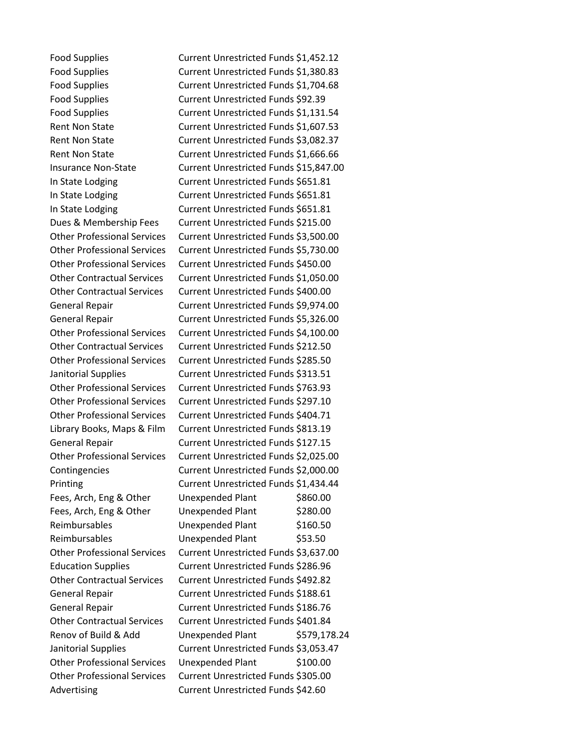Food Supplies Current Unrestricted Funds \$1,452.12 Food Supplies Current Unrestricted Funds \$1,380.83 Food Supplies Current Unrestricted Funds \$1,704.68 Food Supplies Current Unrestricted Funds \$92.39 Food Supplies **Current Unrestricted Funds \$1,131.54** Rent Non State Current Unrestricted Funds \$1,607.53 Rent Non State **Current Unrestricted Funds \$3,082.37** Rent Non State Current Unrestricted Funds \$1,666.66 Insurance Non-State Current Unrestricted Funds \$15,847.00 In State Lodging Current Unrestricted Funds \$651.81 In State Lodging Current Unrestricted Funds \$651.81 In State Lodging Current Unrestricted Funds \$651.81 Dues & Membership Fees Current Unrestricted Funds \$215.00 Other Professional Services Current Unrestricted Funds \$3,500.00 Other Professional Services Current Unrestricted Funds \$5,730.00 Other Professional Services Current Unrestricted Funds \$450.00 Other Contractual Services Current Unrestricted Funds \$1,050.00 Other Contractual Services Current Unrestricted Funds \$400.00 General Repair Current Unrestricted Funds \$9,974.00 General Repair Current Unrestricted Funds \$5,326.00 Other Professional Services Current Unrestricted Funds \$4,100.00 Other Contractual Services Current Unrestricted Funds \$212.50 Other Professional Services Current Unrestricted Funds \$285.50 Janitorial Supplies Current Unrestricted Funds \$313.51 Other Professional Services Current Unrestricted Funds \$763.93 Other Professional Services Current Unrestricted Funds \$297.10 Other Professional Services Current Unrestricted Funds \$404.71 Library Books, Maps & Film Current Unrestricted Funds \$813.19 General Repair Current Unrestricted Funds \$127.15 Other Professional Services Current Unrestricted Funds \$2,025.00 Contingencies Current Unrestricted Funds \$2,000.00 Printing Current Unrestricted Funds \$1,434.44 Fees, Arch, Eng & Other Unexpended Plant \$860.00 Fees, Arch, Eng & Other Unexpended Plant \$280.00 Reimbursables Unexpended Plant \$160.50 Reimbursables Unexpended Plant \$53.50 Other Professional Services Current Unrestricted Funds \$3,637.00 Education Supplies Current Unrestricted Funds \$286.96 Other Contractual Services Current Unrestricted Funds \$492.82 General Repair **Current Unrestricted Funds \$188.61** General Repair Current Unrestricted Funds \$186.76 Other Contractual Services Current Unrestricted Funds \$401.84 Renov of Build & Add Unexpended Plant \$579,178.24 Janitorial Supplies Current Unrestricted Funds \$3,053.47 Other Professional Services Unexpended Plant \$100.00 Other Professional Services Current Unrestricted Funds \$305.00 Advertising Current Unrestricted Funds \$42.60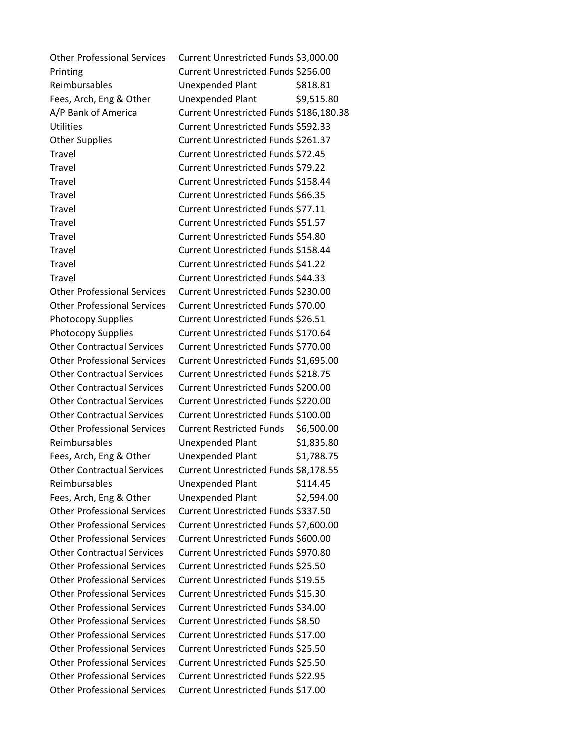Other Professional Services Current Unrestricted Funds \$3,000.00 Printing Current Unrestricted Funds \$256.00 Reimbursables Unexpended Plant \$818.81 Fees, Arch, Eng & Other Unexpended Plant \$9,515.80 A/P Bank of America Current Unrestricted Funds \$186,180.38 Utilities Current Unrestricted Funds \$592.33 Other Supplies Current Unrestricted Funds \$261.37 Travel Current Unrestricted Funds \$72.45 Travel Current Unrestricted Funds \$79.22 Travel Current Unrestricted Funds \$158.44 Travel Current Unrestricted Funds \$66.35 Travel Current Unrestricted Funds \$77.11 Travel Current Unrestricted Funds \$51.57 Travel Current Unrestricted Funds \$54.80 Travel Current Unrestricted Funds \$158.44 Travel Current Unrestricted Funds \$41.22 Travel Current Unrestricted Funds \$44.33 Other Professional Services Current Unrestricted Funds \$230.00 Other Professional Services Current Unrestricted Funds \$70.00 Photocopy Supplies Current Unrestricted Funds \$26.51 Photocopy Supplies Current Unrestricted Funds \$170.64 Other Contractual Services Current Unrestricted Funds \$770.00 Other Professional Services Current Unrestricted Funds \$1,695.00 Other Contractual Services Current Unrestricted Funds \$218.75 Other Contractual Services Current Unrestricted Funds \$200.00 Other Contractual Services Current Unrestricted Funds \$220.00 Other Contractual Services Current Unrestricted Funds \$100.00 Other Professional Services Current Restricted Funds \$6,500.00 Reimbursables Unexpended Plant \$1,835.80 Fees, Arch, Eng & Other Unexpended Plant \$1,788.75 Other Contractual Services Current Unrestricted Funds \$8,178.55 Reimbursables Unexpended Plant \$114.45 Fees, Arch, Eng & Other Unexpended Plant \$2,594.00 Other Professional Services Current Unrestricted Funds \$337.50 Other Professional Services Current Unrestricted Funds \$7,600.00 Other Professional Services Current Unrestricted Funds \$600.00 Other Contractual Services Current Unrestricted Funds \$970.80 Other Professional Services Current Unrestricted Funds \$25.50 Other Professional Services Current Unrestricted Funds \$19.55 Other Professional Services Current Unrestricted Funds \$15.30 Other Professional Services Current Unrestricted Funds \$34.00 Other Professional Services Current Unrestricted Funds \$8.50 Other Professional Services Current Unrestricted Funds \$17.00 Other Professional Services Current Unrestricted Funds \$25.50 Other Professional Services Current Unrestricted Funds \$25.50 Other Professional Services Current Unrestricted Funds \$22.95 Other Professional Services Current Unrestricted Funds \$17.00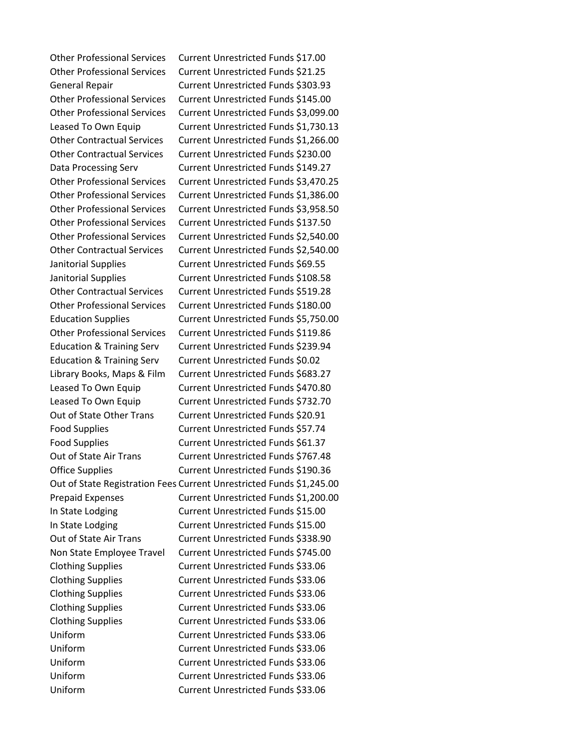Other Professional Services Current Unrestricted Funds \$17.00 Other Professional Services Current Unrestricted Funds \$21.25 General Repair Current Unrestricted Funds \$303.93 Other Professional Services Current Unrestricted Funds \$145.00 Other Professional Services Current Unrestricted Funds \$3,099.00 Leased To Own Equip Current Unrestricted Funds \$1,730.13 Other Contractual Services Current Unrestricted Funds \$1,266.00 Other Contractual Services Current Unrestricted Funds \$230.00 Data Processing Serv Current Unrestricted Funds \$149.27 Other Professional Services Current Unrestricted Funds \$3,470.25 Other Professional Services Current Unrestricted Funds \$1,386.00 Other Professional Services Current Unrestricted Funds \$3,958.50 Other Professional Services Current Unrestricted Funds \$137.50 Other Professional Services Current Unrestricted Funds \$2,540.00 Other Contractual Services Current Unrestricted Funds \$2,540.00 Janitorial Supplies Current Unrestricted Funds \$69.55 Janitorial Supplies Current Unrestricted Funds \$108.58 Other Contractual Services Current Unrestricted Funds \$519.28 Other Professional Services Current Unrestricted Funds \$180.00 Education Supplies Current Unrestricted Funds \$5,750.00 Other Professional Services Current Unrestricted Funds \$119.86 Education & Training Serv Current Unrestricted Funds \$239.94 Education & Training Serv Current Unrestricted Funds \$0.02 Library Books, Maps & Film Current Unrestricted Funds \$683.27 Leased To Own Equip Current Unrestricted Funds \$470.80 Leased To Own Equip Current Unrestricted Funds \$732.70 Out of State Other Trans Current Unrestricted Funds \$20.91 Food Supplies Current Unrestricted Funds \$57.74 Food Supplies Current Unrestricted Funds \$61.37 Out of State Air Trans Current Unrestricted Funds \$767.48 Office Supplies Current Unrestricted Funds \$190.36 Out of State Registration Fees Current Unrestricted Funds \$1,245.00 Prepaid Expenses Current Unrestricted Funds \$1,200.00 In State Lodging Current Unrestricted Funds \$15.00 In State Lodging Current Unrestricted Funds \$15.00 Out of State Air Trans Current Unrestricted Funds \$338.90 Non State Employee Travel Current Unrestricted Funds \$745.00 Clothing Supplies Current Unrestricted Funds \$33.06 Clothing Supplies Current Unrestricted Funds \$33.06 Clothing Supplies Current Unrestricted Funds \$33.06 Clothing Supplies Current Unrestricted Funds \$33.06 Clothing Supplies Current Unrestricted Funds \$33.06 Uniform Current Unrestricted Funds \$33.06 Uniform Current Unrestricted Funds \$33.06 Uniform Current Unrestricted Funds \$33.06 Uniform Current Unrestricted Funds \$33.06 Uniform Current Unrestricted Funds \$33.06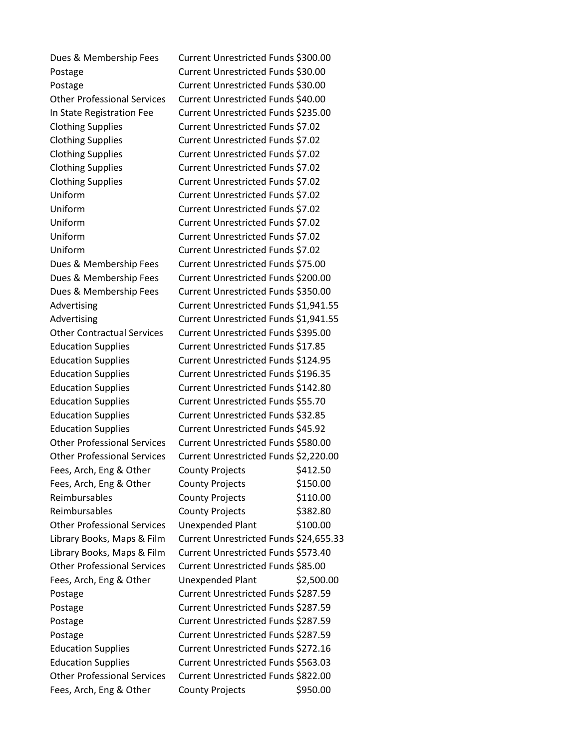Dues & Membership Fees Current Unrestricted Funds \$300.00 Postage Current Unrestricted Funds \$30.00 Postage Current Unrestricted Funds \$30.00 Other Professional Services Current Unrestricted Funds \$40.00 In State Registration Fee Current Unrestricted Funds \$235.00 Clothing Supplies Current Unrestricted Funds \$7.02 Clothing Supplies Current Unrestricted Funds \$7.02 Clothing Supplies Current Unrestricted Funds \$7.02 Clothing Supplies Current Unrestricted Funds \$7.02 Clothing Supplies Current Unrestricted Funds \$7.02 Uniform Current Unrestricted Funds \$7.02 Uniform Current Unrestricted Funds \$7.02 Uniform Current Unrestricted Funds \$7.02 Uniform Current Unrestricted Funds \$7.02 Uniform Current Unrestricted Funds \$7.02 Dues & Membership Fees Current Unrestricted Funds \$75.00 Dues & Membership Fees Current Unrestricted Funds \$200.00 Dues & Membership Fees Current Unrestricted Funds \$350.00 Advertising **Current Unrestricted Funds** \$1,941.55 Advertising **Current Unrestricted Funds \$1,941.55** Other Contractual Services Current Unrestricted Funds \$395.00 Education Supplies Current Unrestricted Funds \$17.85 Education Supplies Current Unrestricted Funds \$124.95 Education Supplies Current Unrestricted Funds \$196.35 Education Supplies Current Unrestricted Funds \$142.80 Education Supplies Current Unrestricted Funds \$55.70 Education Supplies Current Unrestricted Funds \$32.85 Education Supplies Current Unrestricted Funds \$45.92 Other Professional Services Current Unrestricted Funds \$580.00 Other Professional Services Current Unrestricted Funds \$2,220.00 Fees, Arch, Eng & Other County Projects \$412.50 Fees, Arch, Eng & Other County Projects \$150.00 Reimbursables County Projects \$110.00 Reimbursables County Projects \$382.80 Other Professional Services Unexpended Plant \$100.00 Library Books, Maps & Film Current Unrestricted Funds \$24,655.33 Library Books, Maps & Film Current Unrestricted Funds \$573.40 Other Professional Services Current Unrestricted Funds \$85.00 Fees, Arch, Eng & Other Unexpended Plant \$2,500.00 Postage **Current Unrestricted Funds \$287.59** Postage **Current Unrestricted Funds \$287.59** Postage **Current Unrestricted Funds \$287.59** Postage **Current Unrestricted Funds \$287.59** Education Supplies Current Unrestricted Funds \$272.16 Education Supplies Current Unrestricted Funds \$563.03 Other Professional Services Current Unrestricted Funds \$822.00 Fees, Arch, Eng & Other County Projects \$950.00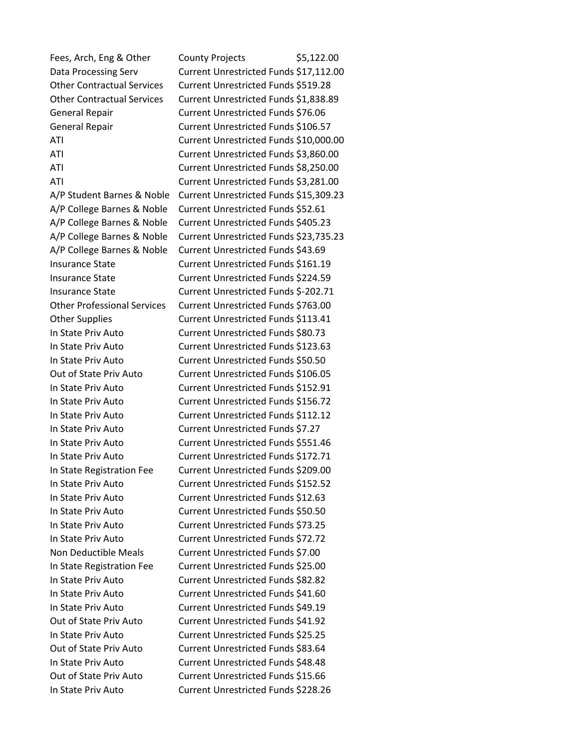Fees, Arch, Eng & Other County Projects \$5,122.00 Data Processing Serv Current Unrestricted Funds \$17,112.00 Other Contractual Services Current Unrestricted Funds \$519.28 Other Contractual Services Current Unrestricted Funds \$1,838.89 General Repair Current Unrestricted Funds \$76.06 General Repair **Current Unrestricted Funds \$106.57** ATI Current Unrestricted Funds \$10,000.00 ATI Current Unrestricted Funds \$3,860.00 ATI Current Unrestricted Funds \$8,250.00 ATI Current Unrestricted Funds \$3,281.00 A/P Student Barnes & Noble Current Unrestricted Funds \$15,309.23 A/P College Barnes & Noble Current Unrestricted Funds \$52.61 A/P College Barnes & Noble Current Unrestricted Funds \$405.23 A/P College Barnes & Noble Current Unrestricted Funds \$23,735.23 A/P College Barnes & Noble Current Unrestricted Funds \$43.69 Insurance State Current Unrestricted Funds \$161.19 Insurance State Current Unrestricted Funds \$224.59 Insurance State Current Unrestricted Funds \$-202.71 Other Professional Services Current Unrestricted Funds \$763.00 Other Supplies Current Unrestricted Funds \$113.41 In State Priv Auto Current Unrestricted Funds \$80.73 In State Priv Auto Current Unrestricted Funds \$123.63 In State Priv Auto Current Unrestricted Funds \$50.50 Out of State Priv Auto Current Unrestricted Funds \$106.05 In State Priv Auto Current Unrestricted Funds \$152.91 In State Priv Auto Current Unrestricted Funds \$156.72 In State Priv Auto Current Unrestricted Funds \$112.12 In State Priv Auto Current Unrestricted Funds \$7.27 In State Priv Auto Current Unrestricted Funds \$551.46 In State Priv Auto Current Unrestricted Funds \$172.71 In State Registration Fee Current Unrestricted Funds \$209.00 In State Priv Auto Current Unrestricted Funds \$152.52 In State Priv Auto Current Unrestricted Funds \$12.63 In State Priv Auto Current Unrestricted Funds \$50.50 In State Priv Auto Current Unrestricted Funds \$73.25 In State Priv Auto Current Unrestricted Funds \$72.72 Non Deductible Meals Current Unrestricted Funds \$7.00 In State Registration Fee Current Unrestricted Funds \$25.00 In State Priv Auto Current Unrestricted Funds \$82.82 In State Priv Auto Current Unrestricted Funds \$41.60 In State Priv Auto Current Unrestricted Funds \$49.19 Out of State Priv Auto Current Unrestricted Funds \$41.92 In State Priv Auto Current Unrestricted Funds \$25.25 Out of State Priv Auto Current Unrestricted Funds \$83.64 In State Priv Auto Current Unrestricted Funds \$48.48 Out of State Priv Auto Current Unrestricted Funds \$15.66 In State Priv Auto Current Unrestricted Funds \$228.26